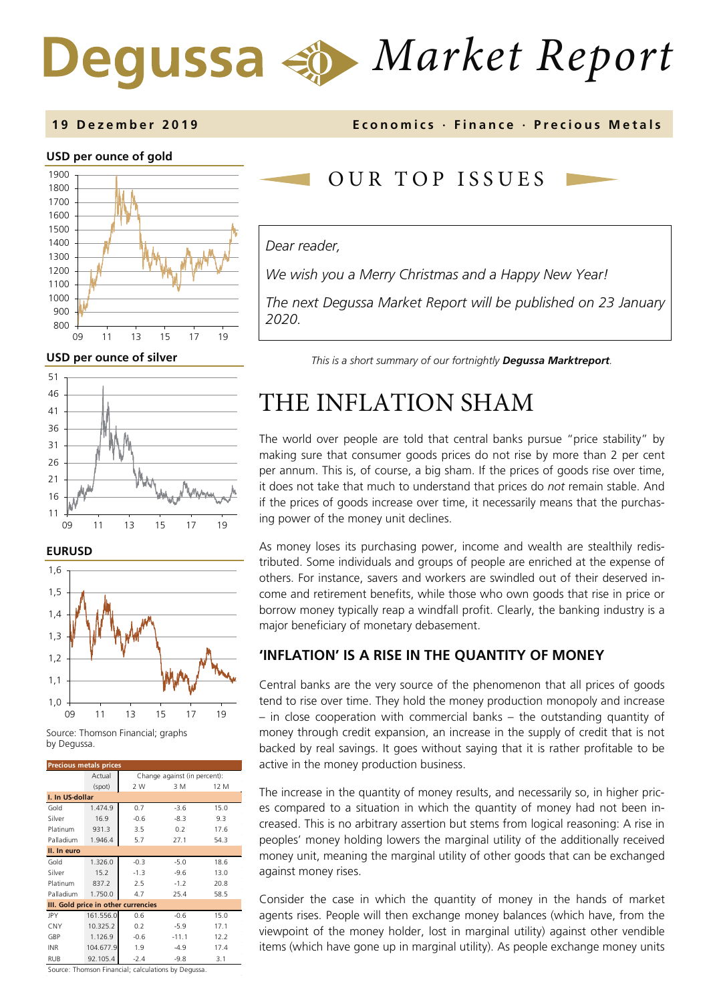# *Market Report* Degussa

### **1 9 Dez ember 201 9 Economics · Finance · Precious M etals**

### **USD per ounce of gold**



**USD per ounce of silver** 







Source: Thomson Financial; graphs by Degussa.

| <b>Precious metals prices</b>       |           |                              |         |      |  |  |  |
|-------------------------------------|-----------|------------------------------|---------|------|--|--|--|
|                                     | Actual    | Change against (in percent): |         |      |  |  |  |
|                                     | (spot)    | 2 W                          | 3 M     | 12 M |  |  |  |
| I. In US-dollar                     |           |                              |         |      |  |  |  |
| Gold                                | 1.474.9   | 0.7                          | $-3.6$  | 15.0 |  |  |  |
| Silver                              | 16.9      | $-0.6$                       | $-8.3$  | 9.3  |  |  |  |
| Platinum                            | 931.3     | 3.5                          | 0.2     | 17.6 |  |  |  |
| Palladium                           | 1.946.4   | 5.7                          | 27.1    | 54.3 |  |  |  |
| II. In euro                         |           |                              |         |      |  |  |  |
| Gold                                | 1.326.0   | $-0.3$                       | $-5.0$  | 18.6 |  |  |  |
| Silver                              | 15.2      | $-1.3$                       | $-9.6$  | 13.0 |  |  |  |
| Platinum                            | 837.2     | 2.5                          | $-1.2$  | 20.8 |  |  |  |
| Palladium                           | 1.750.0   | 4.7                          | 25.4    | 58.5 |  |  |  |
| III. Gold price in other currencies |           |                              |         |      |  |  |  |
| <b>JPY</b>                          | 161.556.0 | 0.6                          | $-0.6$  | 15.0 |  |  |  |
| CNY                                 | 10.325.2  | 0.2                          | $-5.9$  | 17.1 |  |  |  |
| GBP                                 | 1.126.9   | $-0.6$                       | $-11.1$ | 12.2 |  |  |  |
| <b>INR</b>                          | 104.677.9 | 1.9                          | $-4.9$  | 17.4 |  |  |  |
| <b>RUB</b>                          | 92.105.4  | $-2.4$                       | $-9.8$  | 3.1  |  |  |  |

Source: Thomson Financial; calculations by Degussa.

# OUR TOP ISSUE S

### *Dear reader,*

*We wish you a Merry Christmas and a Happy New Year!* 

*The next Degussa Market Report will be published on 23 January 2020.*

*This is a short summary of our fortnightly Degussa Marktreport.*

# THE INFLATION SHAM

The world over people are told that central banks pursue "price stability" by making sure that consumer goods prices do not rise by more than 2 per cent per annum. This is, of course, a big sham. If the prices of goods rise over time, it does not take that much to understand that prices do *not* remain stable. And if the prices of goods increase over time, it necessarily means that the purchasing power of the money unit declines.

As money loses its purchasing power, income and wealth are stealthily redistributed. Some individuals and groups of people are enriched at the expense of others. For instance, savers and workers are swindled out of their deserved income and retirement benefits, while those who own goods that rise in price or borrow money typically reap a windfall profit. Clearly, the banking industry is a major beneficiary of monetary debasement.

### **'INFLATION' IS A RISE IN THE QUANTITY OF MONEY**

Central banks are the very source of the phenomenon that all prices of goods tend to rise over time. They hold the money production monopoly and increase – in close cooperation with commercial banks – the outstanding quantity of money through credit expansion, an increase in the supply of credit that is not backed by real savings. It goes without saying that it is rather profitable to be active in the money production business.

The increase in the quantity of money results, and necessarily so, in higher prices compared to a situation in which the quantity of money had not been increased. This is no arbitrary assertion but stems from logical reasoning: A rise in peoples' money holding lowers the marginal utility of the additionally received money unit, meaning the marginal utility of other goods that can be exchanged against money rises.

Consider the case in which the quantity of money in the hands of market agents rises. People will then exchange money balances (which have, from the viewpoint of the money holder, lost in marginal utility) against other vendible items (which have gone up in marginal utility). As people exchange money units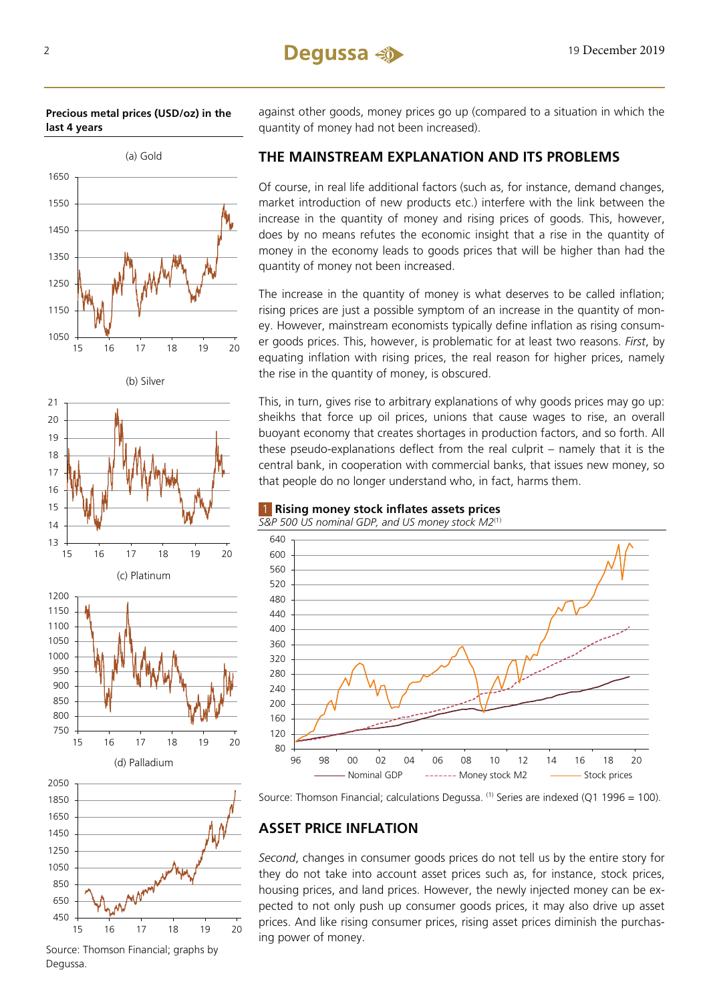### **Precious metal prices (USD/oz) in the last 4 years**



450 650 850 1050 1250 1450 15 16 17 18 19 20

Source: Thomson Financial; graphs by Degussa.

against other goods, money prices go up (compared to a situation in which the quantity of money had not been increased).

# **THE MAINSTREAM EXPLANATION AND ITS PROBLEMS**

Of course, in real life additional factors (such as, for instance, demand changes, market introduction of new products etc.) interfere with the link between the increase in the quantity of money and rising prices of goods. This, however, does by no means refutes the economic insight that a rise in the quantity of money in the economy leads to goods prices that will be higher than had the quantity of money not been increased.

The increase in the quantity of money is what deserves to be called inflation; rising prices are just a possible symptom of an increase in the quantity of money. However, mainstream economists typically define inflation as rising consumer goods prices. This, however, is problematic for at least two reasons. *First*, by equating inflation with rising prices, the real reason for higher prices, namely the rise in the quantity of money, is obscured.

This, in turn, gives rise to arbitrary explanations of why goods prices may go up: sheikhs that force up oil prices, unions that cause wages to rise, an overall buoyant economy that creates shortages in production factors, and so forth. All these pseudo-explanations deflect from the real culprit – namely that it is the central bank, in cooperation with commercial banks, that issues new money, so that people do no longer understand who, in fact, harms them.

## 1 **Rising money stock inflates assets prices**

*S&P 500 US nominal GDP, and US money stock M2*(1)





# **ASSET PRICE INFLATION**

*Second*, changes in consumer goods prices do not tell us by the entire story for they do not take into account asset prices such as, for instance, stock prices, housing prices, and land prices. However, the newly injected money can be expected to not only push up consumer goods prices, it may also drive up asset prices. And like rising consumer prices, rising asset prices diminish the purchasing power of money.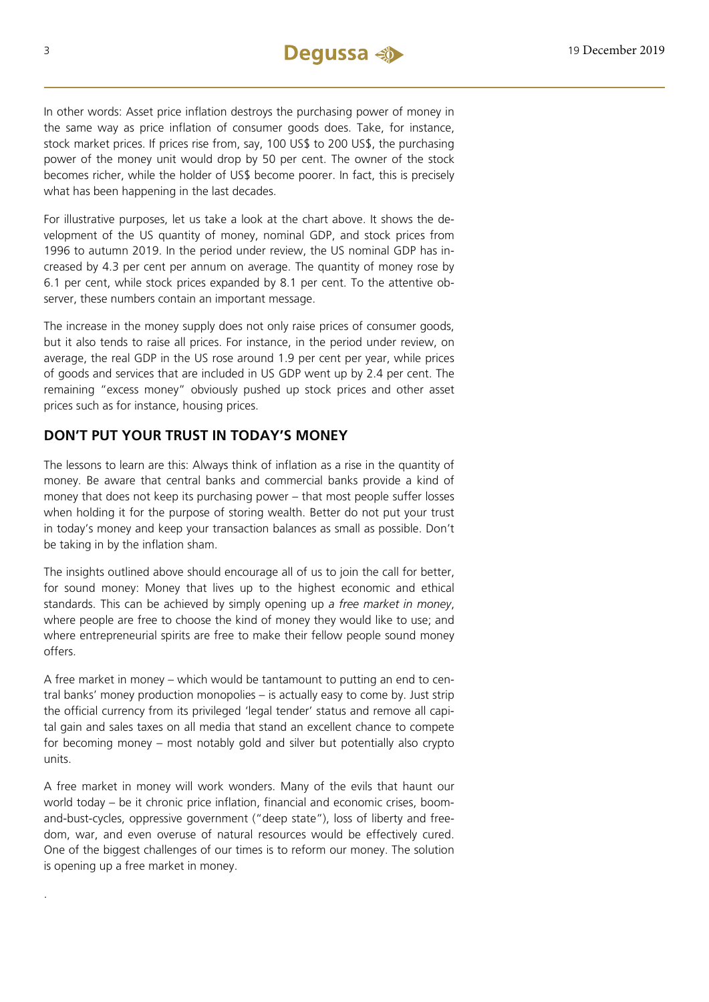In other words: Asset price inflation destroys the purchasing power of money in the same way as price inflation of consumer goods does. Take, for instance, stock market prices. If prices rise from, say, 100 US\$ to 200 US\$, the purchasing power of the money unit would drop by 50 per cent. The owner of the stock becomes richer, while the holder of US\$ become poorer. In fact, this is precisely what has been happening in the last decades.

For illustrative purposes, let us take a look at the chart above. It shows the development of the US quantity of money, nominal GDP, and stock prices from 1996 to autumn 2019. In the period under review, the US nominal GDP has increased by 4.3 per cent per annum on average. The quantity of money rose by 6.1 per cent, while stock prices expanded by 8.1 per cent. To the attentive observer, these numbers contain an important message.

The increase in the money supply does not only raise prices of consumer goods, but it also tends to raise all prices. For instance, in the period under review, on average, the real GDP in the US rose around 1.9 per cent per year, while prices of goods and services that are included in US GDP went up by 2.4 per cent. The remaining "excess money" obviously pushed up stock prices and other asset prices such as for instance, housing prices.

# **DON'T PUT YOUR TRUST IN TODAY'S MONEY**

The lessons to learn are this: Always think of inflation as a rise in the quantity of money. Be aware that central banks and commercial banks provide a kind of money that does not keep its purchasing power – that most people suffer losses when holding it for the purpose of storing wealth. Better do not put your trust in today's money and keep your transaction balances as small as possible. Don't be taking in by the inflation sham.

The insights outlined above should encourage all of us to join the call for better, for sound money: Money that lives up to the highest economic and ethical standards. This can be achieved by simply opening up *a free market in money*, where people are free to choose the kind of money they would like to use; and where entrepreneurial spirits are free to make their fellow people sound money offers.

A free market in money – which would be tantamount to putting an end to central banks' money production monopolies – is actually easy to come by. Just strip the official currency from its privileged 'legal tender' status and remove all capital gain and sales taxes on all media that stand an excellent chance to compete for becoming money – most notably gold and silver but potentially also crypto units.

A free market in money will work wonders. Many of the evils that haunt our world today – be it chronic price inflation, financial and economic crises, boomand-bust-cycles, oppressive government ("deep state"), loss of liberty and freedom, war, and even overuse of natural resources would be effectively cured. One of the biggest challenges of our times is to reform our money. The solution is opening up a free market in money.

.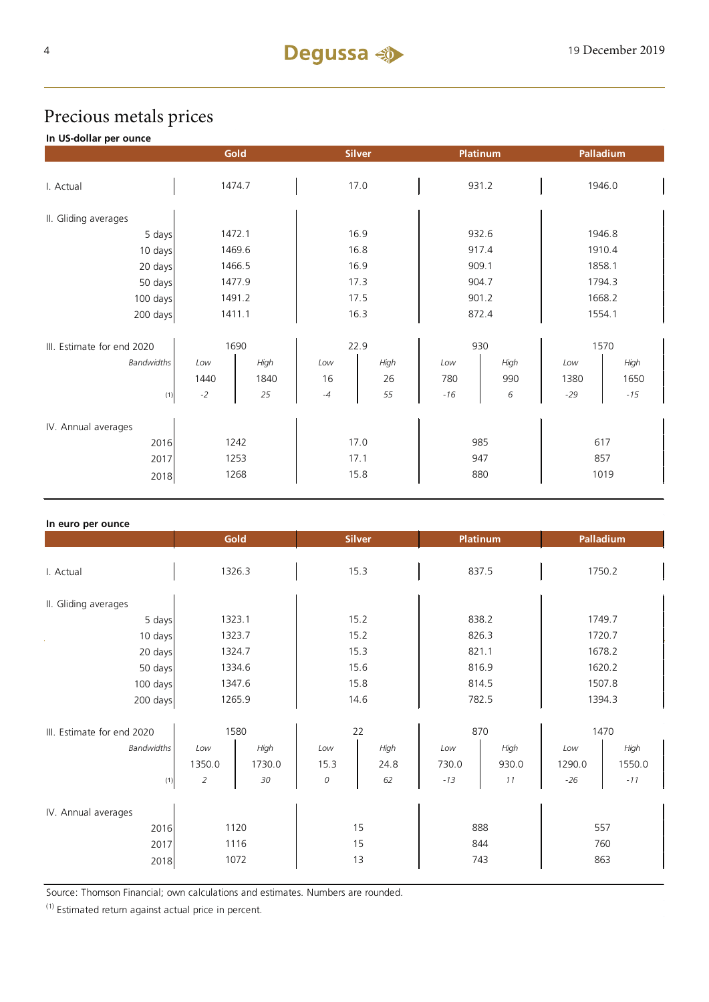# Precious metals prices

## **In US-dollar per ounce**

|                            |        | Gold |      | <b>Silver</b> |       | Platinum | Palladium |       |
|----------------------------|--------|------|------|---------------|-------|----------|-----------|-------|
| I. Actual                  | 1474.7 |      |      | 17.0          |       | 931.2    | 1946.0    |       |
|                            |        |      |      |               |       |          |           |       |
| II. Gliding averages       |        |      |      |               |       |          |           |       |
| 5 days                     | 1472.1 |      | 16.9 |               | 932.6 |          | 1946.8    |       |
| 10 days                    | 1469.6 |      | 16.8 |               | 917.4 |          | 1910.4    |       |
| 20 days                    | 1466.5 |      | 16.9 |               | 909.1 |          | 1858.1    |       |
| 50 days                    | 1477.9 |      | 17.3 |               | 904.7 |          | 1794.3    |       |
| 100 days                   | 1491.2 |      | 17.5 |               | 901.2 |          | 1668.2    |       |
| 200 days                   | 1411.1 |      | 16.3 |               | 872.4 |          | 1554.1    |       |
|                            |        |      |      |               |       |          | 1570      |       |
| III. Estimate for end 2020 | 1690   |      | 22.9 |               | 930   |          |           |       |
| Bandwidths                 | Low    | High | Low  | High          | Low   | High     | Low       | High  |
|                            | 1440   | 1840 | 16   | 26            | 780   | 990      | 1380      | 1650  |
| (1)                        | $-2$   | 25   | $-4$ | 55            | $-16$ | 6        | $-29$     | $-15$ |
| IV. Annual averages        |        |      |      |               |       |          |           |       |
| 2016                       | 1242   |      | 17.0 |               | 985   |          | 617       |       |
| 2017                       | 1253   |      | 17.1 |               | 947   |          | 857       |       |
| 2018                       | 1268   |      | 15.8 |               | 880   |          | 1019      |       |

| In euro per ounce          |                |        |               |      |                 |       |           |        |
|----------------------------|----------------|--------|---------------|------|-----------------|-------|-----------|--------|
|                            | Gold           |        | <b>Silver</b> |      | <b>Platinum</b> |       | Palladium |        |
|                            |                |        |               |      |                 |       |           |        |
| I. Actual                  | 1326.3         |        | 15.3          |      | 837.5           |       | 1750.2    |        |
|                            |                |        |               |      |                 |       |           |        |
| II. Gliding averages       |                |        |               |      |                 |       |           |        |
| 5 days                     | 1323.1         |        | 15.2          |      | 838.2           |       | 1749.7    |        |
| 10 days                    | 1323.7         |        | 15.2          |      | 826.3           |       | 1720.7    |        |
| 20 days                    | 1324.7         |        | 15.3          |      | 821.1           |       | 1678.2    |        |
| 50 days                    | 1334.6         |        | 15.6          |      | 816.9           |       | 1620.2    |        |
| 100 days                   | 1347.6         |        | 15.8          |      | 814.5           |       | 1507.8    |        |
| 200 days                   | 1265.9         |        | 14.6          |      | 782.5           |       | 1394.3    |        |
|                            |                |        |               |      |                 |       |           |        |
| III. Estimate for end 2020 | 1580           |        | 22            |      | 870             |       | 1470      |        |
| <b>Bandwidths</b>          | Low            | High   | Low           | High | Low             | High  | Low       | High   |
|                            | 1350.0         | 1730.0 | 15.3          | 24.8 | 730.0           | 930.0 | 1290.0    | 1550.0 |
| (1)                        | $\overline{2}$ | 30     | ${\cal O}$    | 62   | $-13$           | 11    | $-26$     | $-11$  |
|                            |                |        |               |      |                 |       |           |        |
| IV. Annual averages        |                |        |               |      |                 |       |           |        |
| 2016                       | 1120           |        | 15            |      | 888             |       | 557       |        |
| 2017                       | 1116           |        | 15            |      | 844             |       | 760       |        |
| 2018                       | 1072           |        | 13            |      | 743             |       | 863       |        |
|                            |                |        |               |      |                 |       |           |        |

Source: Thomson Financial; own calculations and estimates. Numbers are rounded.

(1) Estimated return against actual price in percent.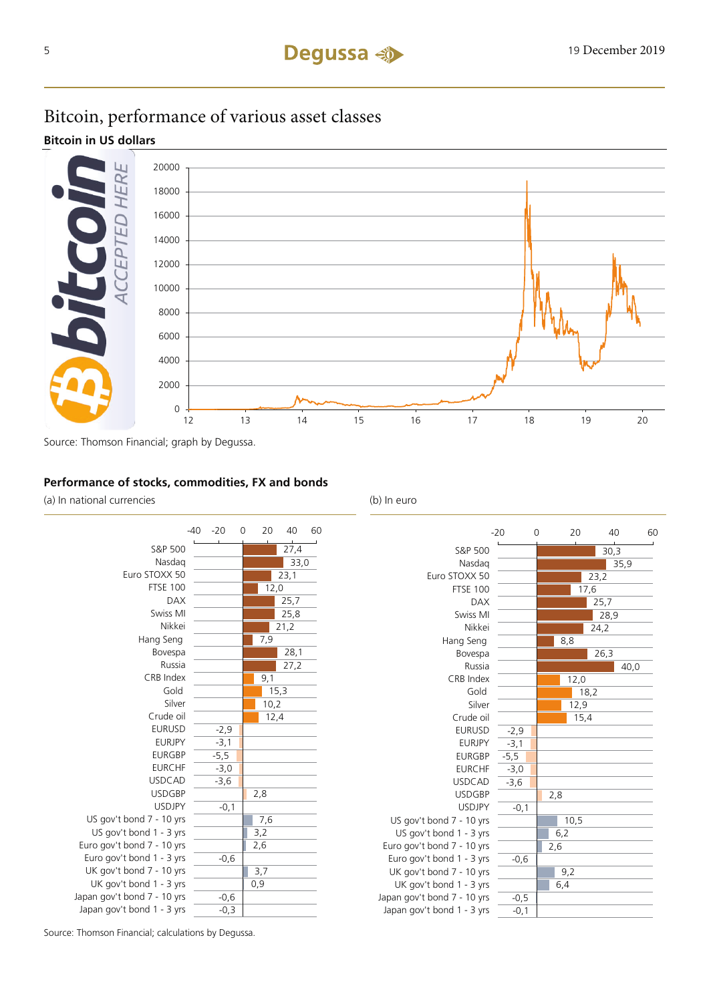# Bitcoin, performance of various asset classes

**Bitcoin in US dollars**



Source: Thomson Financial; graph by Degussa.

# **Performance of stocks, commodities, FX and bonds**

(a) In national currencies (b) In euro





Source: Thomson Financial; calculations by Degussa.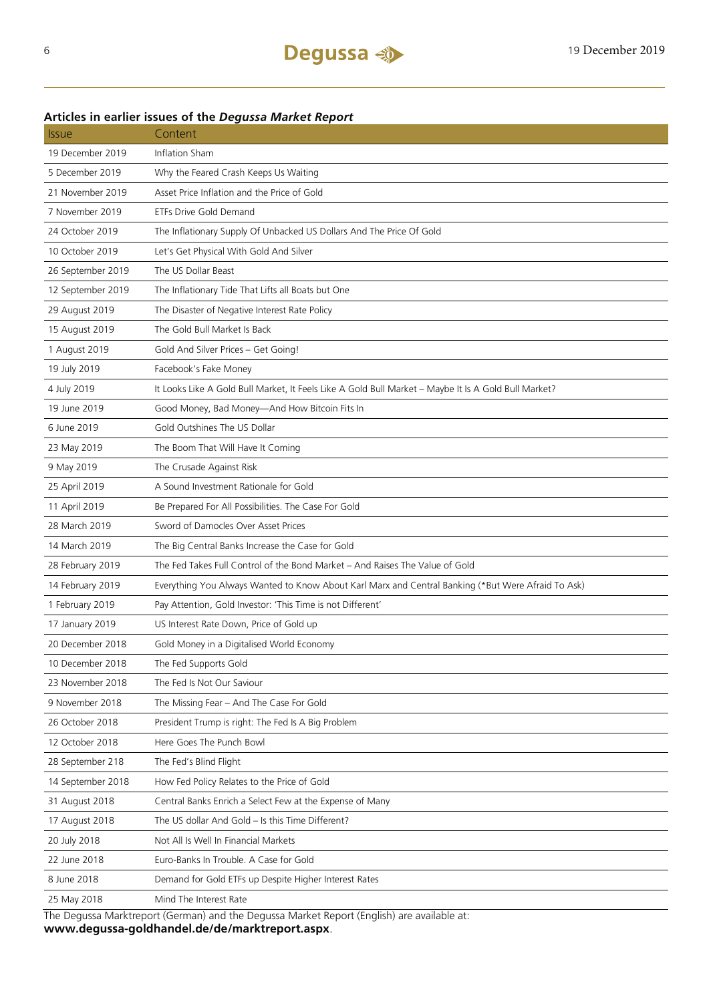# Issue Content 19 December 2019 Inflation Sham 5 December 2019 Why the Feared Crash Keeps Us Waiting 21 November 2019 Asset Price Inflation and the Price of Gold 7 November 2019 ETFs Drive Gold Demand 24 October 2019 The Inflationary Supply Of Unbacked US Dollars And The Price Of Gold 10 October 2019 Let's Get Physical With Gold And Silver 26 September 2019 The US Dollar Beast 12 September 2019 The Inflationary Tide That Lifts all Boats but One 29 August 2019 The Disaster of Negative Interest Rate Policy 15 August 2019 The Gold Bull Market Is Back 1 August 2019 Gold And Silver Prices – Get Going! 19 July 2019 Facebook's Fake Money 4 July 2019 It Looks Like A Gold Bull Market, It Feels Like A Gold Bull Market – Maybe It Is A Gold Bull Market? 19 June 2019 Good Money, Bad Money—And How Bitcoin Fits In 6 June 2019 Gold Outshines The US Dollar 23 May 2019 The Boom That Will Have It Coming 9 May 2019 The Crusade Against Risk 25 April 2019 A Sound Investment Rationale for Gold 11 April 2019 Be Prepared For All Possibilities. The Case For Gold 28 March 2019 Sword of Damocles Over Asset Prices 14 March 2019 The Big Central Banks Increase the Case for Gold 28 February 2019 The Fed Takes Full Control of the Bond Market – And Raises The Value of Gold 14 February 2019 Everything You Always Wanted to Know About Karl Marx and Central Banking (\*But Were Afraid To Ask) 1 February 2019 Pay Attention, Gold Investor: 'This Time is not Different' 17 January 2019 US Interest Rate Down, Price of Gold up 20 December 2018 Gold Money in a Digitalised World Economy 10 December 2018 The Fed Supports Gold 23 November 2018 The Fed Is Not Our Saviour 9 November 2018 The Missing Fear – And The Case For Gold 26 October 2018 President Trump is right: The Fed Is A Big Problem 12 October 2018 Here Goes The Punch Bowl 28 September 218 The Fed's Blind Flight 14 September 2018 How Fed Policy Relates to the Price of Gold 31 August 2018 Central Banks Enrich a Select Few at the Expense of Many 17 August 2018 The US dollar And Gold – Is this Time Different? 20 July 2018 Not All Is Well In Financial Markets 22 June 2018 Euro-Banks In Trouble. A Case for Gold 8 June 2018 Demand for Gold ETFs up Despite Higher Interest Rates 25 May 2018 Mind The Interest Rate The Degussa Marktreport (German) and the Degussa Market Report (English) are available at:

### **Articles in earlier issues of the** *Degussa Market Report*

**www.degussa-goldhandel.de/de/marktreport.aspx**.